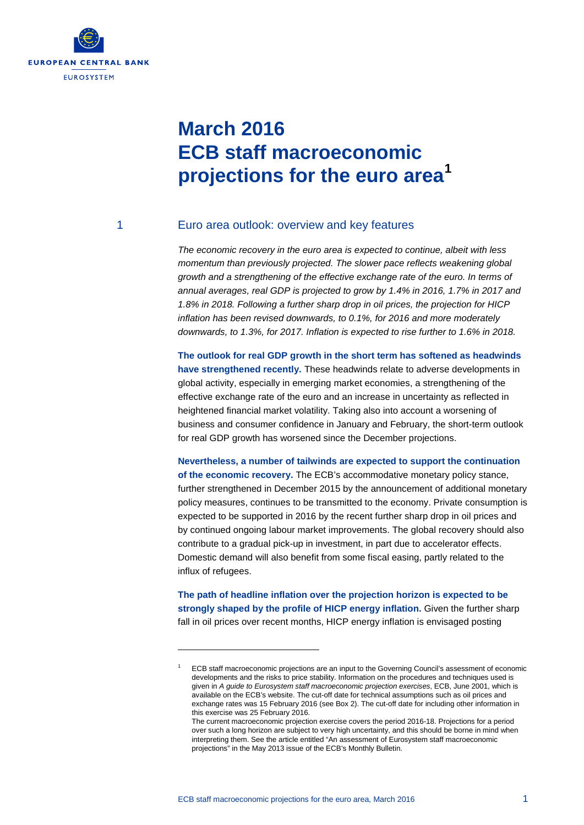

# **March 2016 ECB staff macroeconomic projections for the euro area[1](#page-0-0)**

-

### 1 Euro area outlook: overview and key features

*The economic recovery in the euro area is expected to continue, albeit with less momentum than previously projected. The slower pace reflects weakening global growth and a strengthening of the effective exchange rate of the euro. In terms of annual averages, real GDP is projected to grow by 1.4% in 2016, 1.7% in 2017 and 1.8% in 2018. Following a further sharp drop in oil prices, the projection for HICP inflation has been revised downwards, to 0.1%, for 2016 and more moderately downwards, to 1.3%, for 2017. Inflation is expected to rise further to 1.6% in 2018.* 

**The outlook for real GDP growth in the short term has softened as headwinds have strengthened recently.** These headwinds relate to adverse developments in global activity, especially in emerging market economies, a strengthening of the effective exchange rate of the euro and an increase in uncertainty as reflected in heightened financial market volatility. Taking also into account a worsening of business and consumer confidence in January and February, the short-term outlook for real GDP growth has worsened since the December projections.

**Nevertheless, a number of tailwinds are expected to support the continuation of the economic recovery.** The ECB's accommodative monetary policy stance, further strengthened in December 2015 by the announcement of additional monetary policy measures, continues to be transmitted to the economy. Private consumption is expected to be supported in 2016 by the recent further sharp drop in oil prices and by continued ongoing labour market improvements. The global recovery should also contribute to a gradual pick-up in investment, in part due to accelerator effects. Domestic demand will also benefit from some fiscal easing, partly related to the influx of refugees.

**The path of headline inflation over the projection horizon is expected to be strongly shaped by the profile of HICP energy inflation.** Given the further sharp fall in oil prices over recent months, HICP energy inflation is envisaged posting

<span id="page-0-0"></span><sup>1</sup> ECB staff macroeconomic projections are an input to the Governing Council's assessment of economic developments and the risks to price stability. Information on the procedures and techniques used is given in *A guide to Eurosystem staff macroeconomic projection exercises*, ECB, June 2001, which is available on the ECB's website. The cut-off date for technical assumptions such as oil prices and exchange rates was 15 February 2016 (see Box 2). The cut-off date for including other information in this exercise was 25 February 2016.

The current macroeconomic projection exercise covers the period 2016-18. Projections for a period over such a long horizon are subject to very high uncertainty, and this should be borne in mind when interpreting them. See the article entitled "An assessment of Eurosystem staff macroeconomic projections" in the May 2013 issue of the ECB's Monthly Bulletin.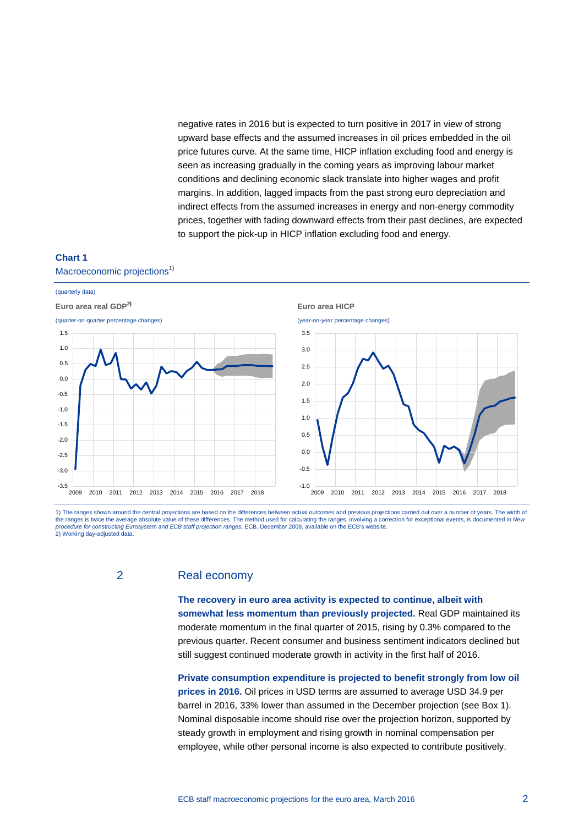negative rates in 2016 but is expected to turn positive in 2017 in view of strong upward base effects and the assumed increases in oil prices embedded in the oil price futures curve. At the same time, HICP inflation excluding food and energy is seen as increasing gradually in the coming years as improving labour market conditions and declining economic slack translate into higher wages and profit margins. In addition, lagged impacts from the past strong euro depreciation and indirect effects from the assumed increases in energy and non-energy commodity prices, together with fading downward effects from their past declines, are expected to support the pick-up in HICP inflation excluding food and energy.

### **Chart 1** Macroeconomic projections<sup>1)</sup>



1) The ranges shown around the central projections are based on the differences between actual outcomes and previous projections carried out over a number of years. The width of the ranges is twice the average absolute value of these differences. The method used for calculating the ranges, involving a correction for exceptional events, is documented in *New procedure for constructing Eurosystem and ECB staff projection ranges*, ECB, December 2009, available on the ECB's website. 2) Working day-adjusted data.

### 2 Real economy

**The recovery in euro area activity is expected to continue, albeit with somewhat less momentum than previously projected.** Real GDP maintained its moderate momentum in the final quarter of 2015, rising by 0.3% compared to the previous quarter. Recent consumer and business sentiment indicators declined but still suggest continued moderate growth in activity in the first half of 2016.

**Private consumption expenditure is projected to benefit strongly from low oil prices in 2016.** Oil prices in USD terms are assumed to average USD 34.9 per barrel in 2016, 33% lower than assumed in the December projection (see Box 1). Nominal disposable income should rise over the projection horizon, supported by steady growth in employment and rising growth in nominal compensation per employee, while other personal income is also expected to contribute positively.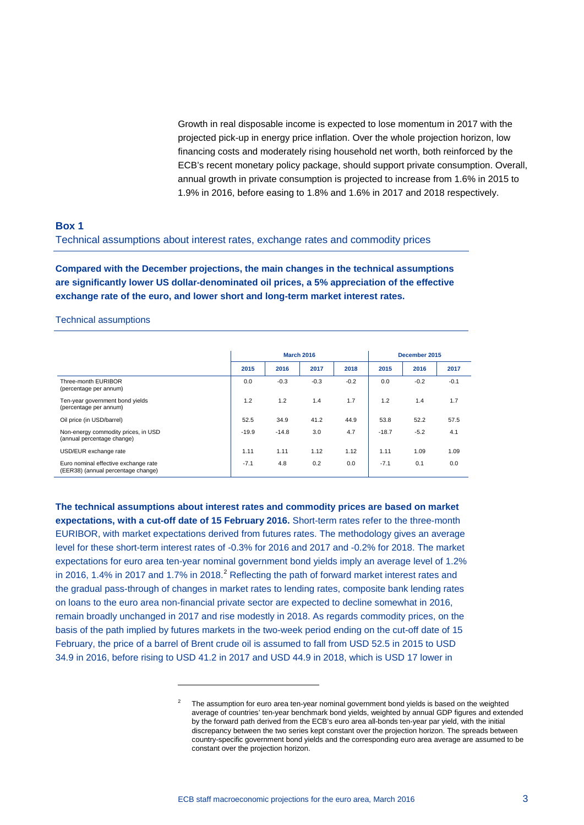Growth in real disposable income is expected to lose momentum in 2017 with the projected pick-up in energy price inflation. Over the whole projection horizon, low financing costs and moderately rising household net worth, both reinforced by the ECB's recent monetary policy package, should support private consumption. Overall, annual growth in private consumption is projected to increase from 1.6% in 2015 to 1.9% in 2016, before easing to 1.8% and 1.6% in 2017 and 2018 respectively.

### **Box 1**

Technical assumptions about interest rates, exchange rates and commodity prices

**Compared with the December projections, the main changes in the technical assumptions are significantly lower US dollar-denominated oil prices, a 5% appreciation of the effective exchange rate of the euro, and lower short and long-term market interest rates.** 

### Technical assumptions

|                                                                            | <b>March 2016</b> |         |                  |        | December 2015 |        |        |
|----------------------------------------------------------------------------|-------------------|---------|------------------|--------|---------------|--------|--------|
|                                                                            | 2015              | 2016    | 2017             | 2018   | 2015          | 2016   | 2017   |
| Three-month EURIBOR<br>(percentage per annum)                              | 0.0               | $-0.3$  | $-0.3$           | $-0.2$ | 0.0           | $-0.2$ | $-0.1$ |
| Ten-year government bond yields<br>(percentage per annum)                  | 1.2               | 1.2     | 1.4              | 1.7    | 1.2           | 1.4    | 1.7    |
| Oil price (in USD/barrel)                                                  | 52.5              | 34.9    | 41.2             | 44.9   | 53.8          | 52.2   | 57.5   |
| Non-energy commodity prices, in USD<br>(annual percentage change)          | $-19.9$           | $-14.8$ | 3.0 <sub>2</sub> | 4.7    | $-18.7$       | $-5.2$ | 4.1    |
| USD/EUR exchange rate                                                      | 1.11              | 1.11    | 1.12             | 1.12   | 1.11          | 1.09   | 1.09   |
| Euro nominal effective exchange rate<br>(EER38) (annual percentage change) | $-7.1$            | 4.8     | 0.2              | 0.0    | $-7.1$        | 0.1    | 0.0    |

**The technical assumptions about interest rates and commodity prices are based on market expectations, with a cut-off date of 15 February 2016.** Short-term rates refer to the three-month EURIBOR, with market expectations derived from futures rates. The methodology gives an average level for these short-term interest rates of -0.3% for 2016 and 2017 and -0.2% for 2018. The market expectations for euro area ten-year nominal government bond yields imply an average level of 1.2% in [2](#page-2-0)016, 1.4% in 2017 and 1.7% in 2018.<sup>2</sup> Reflecting the path of forward market interest rates and the gradual pass-through of changes in market rates to lending rates, composite bank lending rates on loans to the euro area non-financial private sector are expected to decline somewhat in 2016, remain broadly unchanged in 2017 and rise modestly in 2018. As regards commodity prices, on the basis of the path implied by futures markets in the two-week period ending on the cut-off date of 15 February, the price of a barrel of Brent crude oil is assumed to fall from USD 52.5 in 2015 to USD 34.9 in 2016, before rising to USD 41.2 in 2017 and USD 44.9 in 2018, which is USD 17 lower in

-

<span id="page-2-0"></span><sup>2</sup> The assumption for euro area ten-year nominal government bond yields is based on the weighted average of countries' ten-year benchmark bond yields, weighted by annual GDP figures and extended by the forward path derived from the ECB's euro area all-bonds ten-year par yield, with the initial discrepancy between the two series kept constant over the projection horizon. The spreads between country-specific government bond yields and the corresponding euro area average are assumed to be constant over the projection horizon.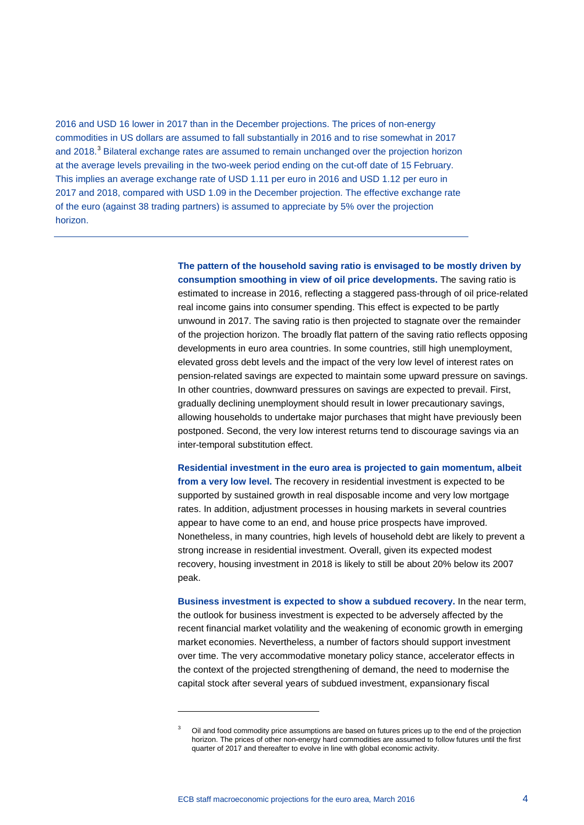2016 and USD 16 lower in 2017 than in the December projections. The prices of non-energy commodities in US dollars are assumed to fall substantially in 2016 and to rise somewhat in 2017 and 2018.<sup>[3](#page-3-0)</sup> Bilateral exchange rates are assumed to remain unchanged over the projection horizon at the average levels prevailing in the two-week period ending on the cut-off date of 15 February. This implies an average exchange rate of USD 1.11 per euro in 2016 and USD 1.12 per euro in 2017 and 2018, compared with USD 1.09 in the December projection. The effective exchange rate of the euro (against 38 trading partners) is assumed to appreciate by 5% over the projection horizon.

> **The pattern of the household saving ratio is envisaged to be mostly driven by consumption smoothing in view of oil price developments.** The saving ratio is estimated to increase in 2016, reflecting a staggered pass-through of oil price-related real income gains into consumer spending. This effect is expected to be partly unwound in 2017. The saving ratio is then projected to stagnate over the remainder of the projection horizon. The broadly flat pattern of the saving ratio reflects opposing developments in euro area countries. In some countries, still high unemployment, elevated gross debt levels and the impact of the very low level of interest rates on pension-related savings are expected to maintain some upward pressure on savings. In other countries, downward pressures on savings are expected to prevail. First, gradually declining unemployment should result in lower precautionary savings, allowing households to undertake major purchases that might have previously been postponed. Second, the very low interest returns tend to discourage savings via an inter-temporal substitution effect.

**Residential investment in the euro area is projected to gain momentum, albeit from a very low level.** The recovery in residential investment is expected to be supported by sustained growth in real disposable income and very low mortgage rates. In addition, adjustment processes in housing markets in several countries appear to have come to an end, and house price prospects have improved. Nonetheless, in many countries, high levels of household debt are likely to prevent a strong increase in residential investment. Overall, given its expected modest recovery, housing investment in 2018 is likely to still be about 20% below its 2007 peak.

**Business investment is expected to show a subdued recovery.** In the near term, the outlook for business investment is expected to be adversely affected by the recent financial market volatility and the weakening of economic growth in emerging market economies. Nevertheless, a number of factors should support investment over time. The very accommodative monetary policy stance, accelerator effects in the context of the projected strengthening of demand, the need to modernise the capital stock after several years of subdued investment, expansionary fiscal

-

<span id="page-3-0"></span>Oil and food commodity price assumptions are based on futures prices up to the end of the projection horizon. The prices of other non-energy hard commodities are assumed to follow futures until the first quarter of 2017 and thereafter to evolve in line with global economic activity.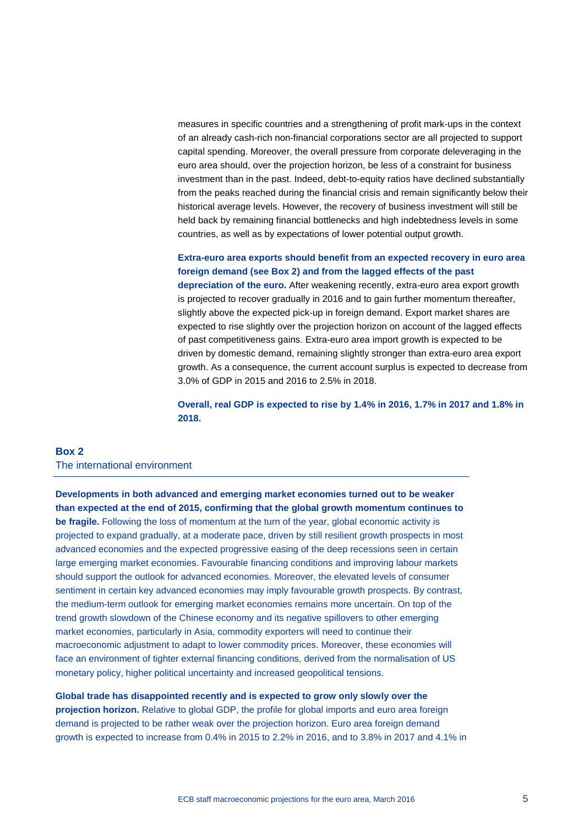measures in specific countries and a strengthening of profit mark-ups in the context of an already cash-rich non-financial corporations sector are all projected to support capital spending. Moreover, the overall pressure from corporate deleveraging in the euro area should, over the projection horizon, be less of a constraint for business investment than in the past. Indeed, debt-to-equity ratios have declined substantially from the peaks reached during the financial crisis and remain significantly below their historical average levels. However, the recovery of business investment will still be held back by remaining financial bottlenecks and high indebtedness levels in some countries, as well as by expectations of lower potential output growth.

# **Extra-euro area exports should benefit from an expected recovery in euro area foreign demand (see Box 2) and from the lagged effects of the past**

**depreciation of the euro.** After weakening recently, extra-euro area export growth is projected to recover gradually in 2016 and to gain further momentum thereafter, slightly above the expected pick-up in foreign demand. Export market shares are expected to rise slightly over the projection horizon on account of the lagged effects of past competitiveness gains. Extra-euro area import growth is expected to be driven by domestic demand, remaining slightly stronger than extra-euro area export growth. As a consequence, the current account surplus is expected to decrease from 3.0% of GDP in 2015 and 2016 to 2.5% in 2018.

**Overall, real GDP is expected to rise by 1.4% in 2016, 1.7% in 2017 and 1.8% in 2018.**

### **Box 2** The international environment

**Developments in both advanced and emerging market economies turned out to be weaker than expected at the end of 2015, confirming that the global growth momentum continues to be fragile.** Following the loss of momentum at the turn of the year, global economic activity is projected to expand gradually, at a moderate pace, driven by still resilient growth prospects in most advanced economies and the expected progressive easing of the deep recessions seen in certain large emerging market economies. Favourable financing conditions and improving labour markets should support the outlook for advanced economies. Moreover, the elevated levels of consumer sentiment in certain key advanced economies may imply favourable growth prospects. By contrast, the medium-term outlook for emerging market economies remains more uncertain. On top of the trend growth slowdown of the Chinese economy and its negative spillovers to other emerging market economies, particularly in Asia, commodity exporters will need to continue their macroeconomic adjustment to adapt to lower commodity prices. Moreover, these economies will face an environment of tighter external financing conditions, derived from the normalisation of US monetary policy, higher political uncertainty and increased geopolitical tensions.

**Global trade has disappointed recently and is expected to grow only slowly over the projection horizon.** Relative to global GDP, the profile for global imports and euro area foreign demand is projected to be rather weak over the projection horizon. Euro area foreign demand growth is expected to increase from 0.4% in 2015 to 2.2% in 2016, and to 3.8% in 2017 and 4.1% in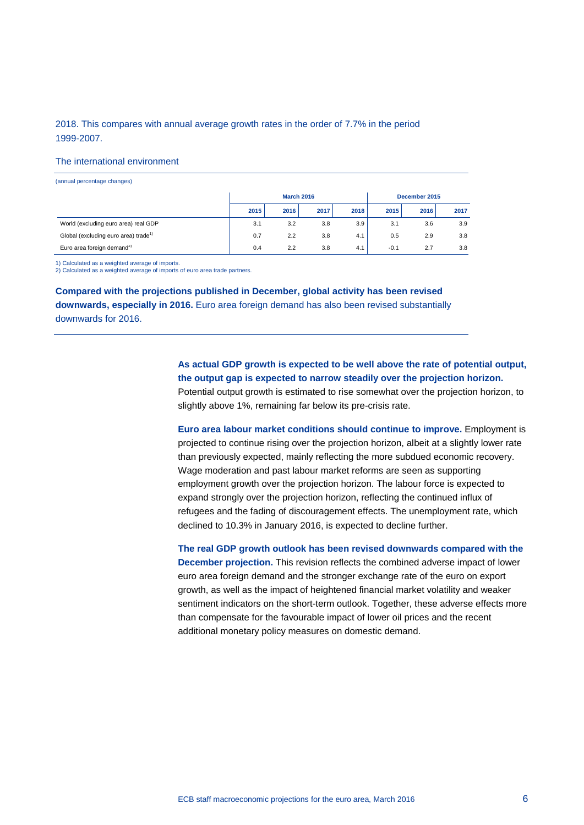### 2018. This compares with annual average growth rates in the order of 7.7% in the period 1999-2007.

#### The international environment

| (annual percentage changes)                      |                   |      |      |      |               |      |      |  |
|--------------------------------------------------|-------------------|------|------|------|---------------|------|------|--|
|                                                  | <b>March 2016</b> |      |      |      | December 2015 |      |      |  |
|                                                  | 2015              | 2016 | 2017 | 2018 | 2015          | 2016 | 2017 |  |
| World (excluding euro area) real GDP             | 3.1               | 3.2  | 3.8  | 3.9  | 3.1           | 3.6  | 3.9  |  |
| Global (excluding euro area) trade <sup>1)</sup> | 0.7               | 2.2  | 3.8  | 4.1  | 0.5           | 2.9  | 3.8  |  |
| Euro area foreign demand <sup>2)</sup>           | 0.4               | 2.2  | 3.8  | 4.1  | $-0.1$        | 2.7  | 3.8  |  |

1) Calculated as a weighted average of imports.

2) Calculated as a weighted average of imports of euro area trade partners.

**Compared with the projections published in December, global activity has been revised downwards, especially in 2016.** Euro area foreign demand has also been revised substantially downwards for 2016.

> **As actual GDP growth is expected to be well above the rate of potential output, the output gap is expected to narrow steadily over the projection horizon.**  Potential output growth is estimated to rise somewhat over the projection horizon, to slightly above 1%, remaining far below its pre-crisis rate.

> **Euro area labour market conditions should continue to improve.** Employment is projected to continue rising over the projection horizon, albeit at a slightly lower rate than previously expected, mainly reflecting the more subdued economic recovery. Wage moderation and past labour market reforms are seen as supporting employment growth over the projection horizon. The labour force is expected to expand strongly over the projection horizon, reflecting the continued influx of refugees and the fading of discouragement effects. The unemployment rate, which declined to 10.3% in January 2016, is expected to decline further.

> **The real GDP growth outlook has been revised downwards compared with the December projection.** This revision reflects the combined adverse impact of lower euro area foreign demand and the stronger exchange rate of the euro on export growth, as well as the impact of heightened financial market volatility and weaker sentiment indicators on the short-term outlook. Together, these adverse effects more than compensate for the favourable impact of lower oil prices and the recent additional monetary policy measures on domestic demand.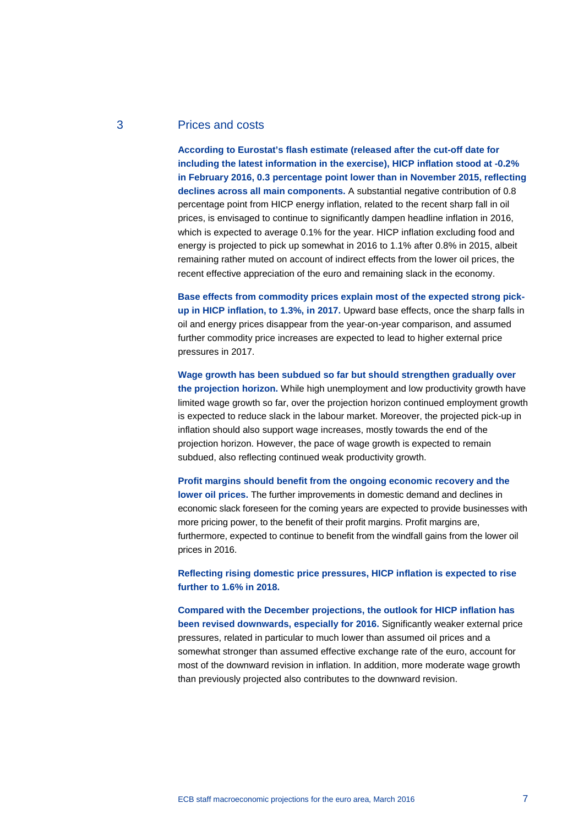# 3 Prices and costs

**According to Eurostat's flash estimate (released after the cut-off date for including the latest information in the exercise), HICP inflation stood at -0.2% in February 2016, 0.3 percentage point lower than in November 2015, reflecting declines across all main components.** A substantial negative contribution of 0.8 percentage point from HICP energy inflation, related to the recent sharp fall in oil prices, is envisaged to continue to significantly dampen headline inflation in 2016, which is expected to average 0.1% for the year. HICP inflation excluding food and energy is projected to pick up somewhat in 2016 to 1.1% after 0.8% in 2015, albeit remaining rather muted on account of indirect effects from the lower oil prices, the recent effective appreciation of the euro and remaining slack in the economy.

**Base effects from commodity prices explain most of the expected strong pickup in HICP inflation, to 1.3%, in 2017.** Upward base effects, once the sharp falls in oil and energy prices disappear from the year-on-year comparison, and assumed further commodity price increases are expected to lead to higher external price pressures in 2017.

**Wage growth has been subdued so far but should strengthen gradually over the projection horizon.** While high unemployment and low productivity growth have limited wage growth so far, over the projection horizon continued employment growth is expected to reduce slack in the labour market. Moreover, the projected pick-up in inflation should also support wage increases, mostly towards the end of the projection horizon. However, the pace of wage growth is expected to remain subdued, also reflecting continued weak productivity growth.

**Profit margins should benefit from the ongoing economic recovery and the lower oil prices.** The further improvements in domestic demand and declines in economic slack foreseen for the coming years are expected to provide businesses with more pricing power, to the benefit of their profit margins. Profit margins are, furthermore, expected to continue to benefit from the windfall gains from the lower oil prices in 2016.

**Reflecting rising domestic price pressures, HICP inflation is expected to rise further to 1.6% in 2018.**

**Compared with the December projections, the outlook for HICP inflation has been revised downwards, especially for 2016.** Significantly weaker external price pressures, related in particular to much lower than assumed oil prices and a somewhat stronger than assumed effective exchange rate of the euro, account for most of the downward revision in inflation. In addition, more moderate wage growth than previously projected also contributes to the downward revision.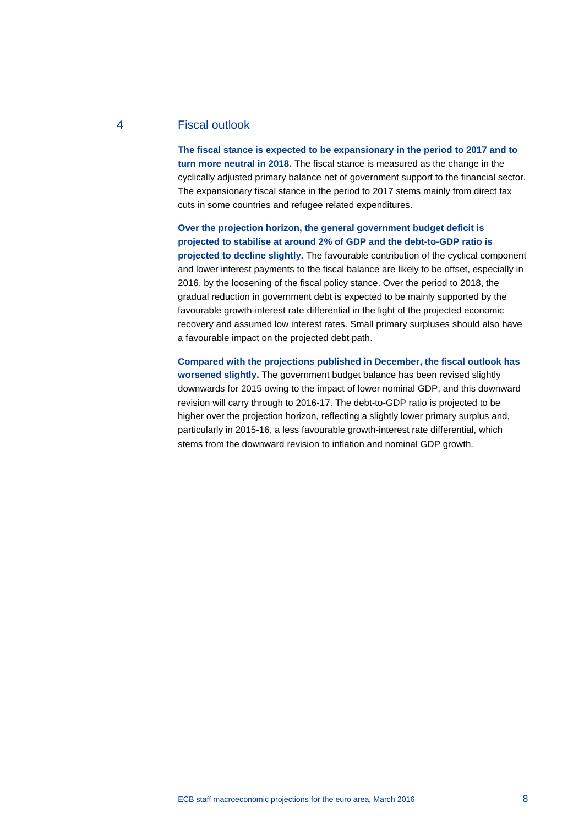# 4 Fiscal outlook

**The fiscal stance is expected to be expansionary in the period to 2017 and to turn more neutral in 2018.** The fiscal stance is measured as the change in the cyclically adjusted primary balance net of government support to the financial sector. The expansionary fiscal stance in the period to 2017 stems mainly from direct tax cuts in some countries and refugee related expenditures.

**Over the projection horizon, the general government budget deficit is projected to stabilise at around 2% of GDP and the debt-to-GDP ratio is projected to decline slightly.** The favourable contribution of the cyclical component and lower interest payments to the fiscal balance are likely to be offset, especially in 2016, by the loosening of the fiscal policy stance. Over the period to 2018, the gradual reduction in government debt is expected to be mainly supported by the favourable growth-interest rate differential in the light of the projected economic recovery and assumed low interest rates. Small primary surpluses should also have a favourable impact on the projected debt path.

**Compared with the projections published in December, the fiscal outlook has worsened slightly.** The government budget balance has been revised slightly downwards for 2015 owing to the impact of lower nominal GDP, and this downward revision will carry through to 2016-17. The debt-to-GDP ratio is projected to be higher over the projection horizon, reflecting a slightly lower primary surplus and, particularly in 2015-16, a less favourable growth-interest rate differential, which stems from the downward revision to inflation and nominal GDP growth.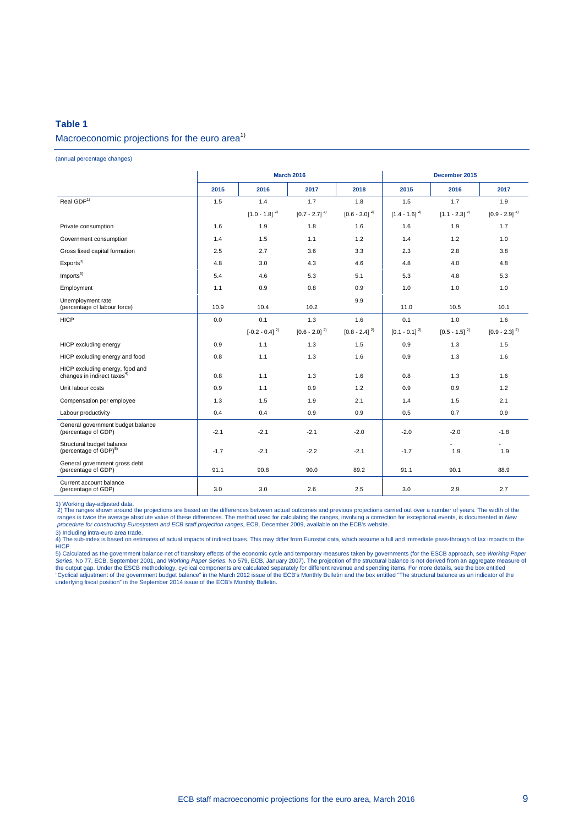# **Table 1** Macroeconomic projections for the euro area<sup>1)</sup>

(annual percentage changes)

|                                                                            | <b>March 2016</b><br>December 2015 |                    |                             |                   |                   |                   |                             |
|----------------------------------------------------------------------------|------------------------------------|--------------------|-----------------------------|-------------------|-------------------|-------------------|-----------------------------|
|                                                                            | 2015                               | 2016               | 2017                        | 2018              | 2015              | 2016              | 2017                        |
| Real GDP <sup>1)</sup>                                                     | 1.5                                | 1.4                | 1.7                         | 1.8               | 1.5               | 1.7               | 1.9                         |
|                                                                            |                                    | $[1.0 - 1.8]^{2}$  | $[0.7 - 2.7]$ <sup>2)</sup> | $[0.6 - 3.0]^{2}$ | $[1.4 - 1.6]^{2}$ | $[1.1 - 2.3]^{2}$ | $[0.9 - 2.9]$ <sup>2)</sup> |
| Private consumption                                                        | 1.6                                | 1.9                | 1.8                         | 1.6               | 1.6               | 1.9               | 1.7                         |
| Government consumption                                                     | 1.4                                | 1.5                | 1.1                         | 1.2               | 1.4               | 1.2               | 1.0                         |
| Gross fixed capital formation                                              | 2.5                                | 2.7                | 3.6                         | 3.3               | 2.3               | 2.8               | 3.8                         |
| Exports <sup>3</sup>                                                       | 4.8                                | 3.0                | 4.3                         | 4.6               | 4.8               | 4.0               | 4.8                         |
| Imports <sup>3</sup>                                                       | 5.4                                | 4.6                | 5.3                         | 5.1               | 5.3               | 4.8               | 5.3                         |
| Employment                                                                 | 1.1                                | 0.9                | 0.8                         | 0.9               | 1.0               | 1.0               | 1.0                         |
| Unemployment rate<br>(percentage of labour force)                          | 10.9                               | 10.4               | 10.2                        | 9.9               | 11.0              | 10.5              | 10.1                        |
| <b>HICP</b>                                                                | 0.0                                | 0.1                | 1.3                         | 1.6               | 0.1               | 1.0               | 1.6                         |
|                                                                            |                                    | $[-0.2 - 0.4]^{2}$ | $[0.6 - 2.0]^{2}$           | $[0.8 - 2.4]^{2}$ | $[0.1 - 0.1]^{2}$ | $[0.5 - 1.5]^{2}$ | $[0.9 - 2.3]^{2}$           |
| HICP excluding energy                                                      | 0.9                                | 1.1                | 1.3                         | 1.5               | 0.9               | 1.3               | 1.5                         |
| HICP excluding energy and food                                             | 0.8                                | 1.1                | 1.3                         | 1.6               | 0.9               | 1.3               | 1.6                         |
| HICP excluding energy, food and<br>changes in indirect taxes <sup>4)</sup> | 0.8                                | 1.1                | 1.3                         | 1.6               | 0.8               | 1.3               | 1.6                         |
| Unit labour costs                                                          | 0.9                                | 1.1                | 0.9                         | 1.2               | 0.9               | 0.9               | 1.2                         |
| Compensation per employee                                                  | 1.3                                | 1.5                | 1.9                         | 2.1               | 1.4               | 1.5               | 2.1                         |
| Labour productivity                                                        | 0.4                                | 0.4                | 0.9                         | 0.9               | 0.5               | 0.7               | 0.9                         |
| General government budget balance<br>(percentage of GDP)                   | $-2.1$                             | $-2.1$             | $-2.1$                      | $-2.0$            | $-2.0$            | $-2.0$            | $-1.8$                      |
| Structural budget balance<br>(percentage of GDP) <sup>5)</sup>             | $-1.7$                             | $-2.1$             | $-2.2$                      | $-2.1$            | $-1.7$            | 1.9               | 1.9                         |
| General government gross debt<br>(percentage of GDP)                       | 91.1                               | 90.8               | 90.0                        | 89.2              | 91.1              | 90.1              | 88.9                        |
| Current account balance<br>(percentage of GDP)                             | 3.0                                | 3.0                | 2.6                         | 2.5               | 3.0               | 2.9               | 2.7                         |

1) Working day-adjusted data.<br>2) The ranges shown around the projections are based on the differences between actual outcomes and previous projections carried out over a number of years. The width of the<br>ranges is twice th *procedure for constructing Eurosystem and ECB staff projection ranges*, ECB, December 2009, available on the ECB's website.

3) Including intra-euro area trade. 4) The sub-index is based on estimates of actual impacts of indirect taxes. This may differ from Eurostat data, which assume a full and immediate pass-through of tax impacts to the HICP.

5) Calculated as the government balance net of transitory effects of the economic cycle and temporary measures taken by governments (for the ESCB approach, see *Working Paper*<br>Ser*ies*, No 77, ECB, September 2001, and *Wor* the output gap. Under the ESCB methodology, cyclical components are calculated separately for different revenue and spending items. For more details, see the box entitled<br>"Cyclical adjustment of the government budget balan underlying fiscal position" in the September 2014 issue of the ECB's Monthly Bulletin.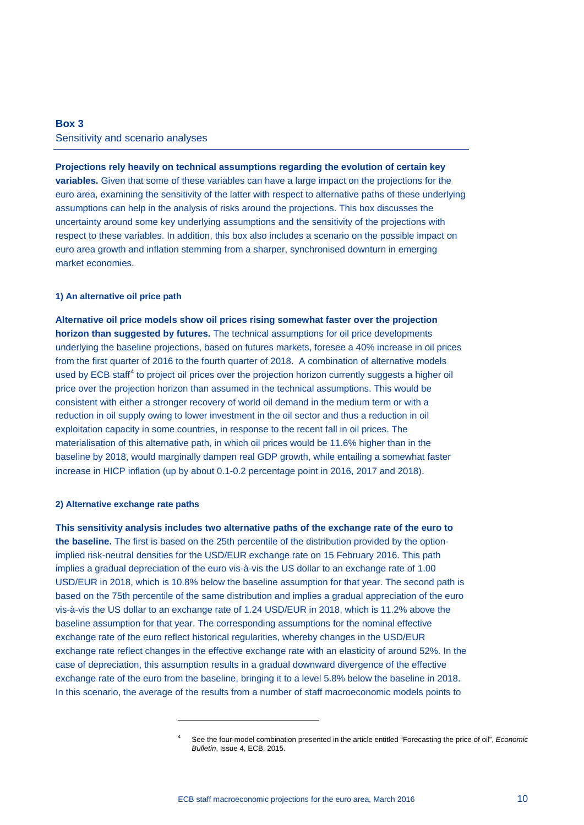# **Box 3** Sensitivity and scenario analyses

**Projections rely heavily on technical assumptions regarding the evolution of certain key variables.** Given that some of these variables can have a large impact on the projections for the euro area, examining the sensitivity of the latter with respect to alternative paths of these underlying assumptions can help in the analysis of risks around the projections. This box discusses the uncertainty around some key underlying assumptions and the sensitivity of the projections with respect to these variables. In addition, this box also includes a scenario on the possible impact on euro area growth and inflation stemming from a sharper, synchronised downturn in emerging market economies.

### **1) An alternative oil price path**

**Alternative oil price models show oil prices rising somewhat faster over the projection horizon than suggested by futures.** The technical assumptions for oil price developments underlying the baseline projections, based on futures markets, foresee a 40% increase in oil prices from the first quarter of 2016 to the fourth quarter of 2018. A combination of alternative models used by ECB staff<sup>[4](#page-9-0)</sup> to project oil prices over the projection horizon currently suggests a higher oil price over the projection horizon than assumed in the technical assumptions. This would be consistent with either a stronger recovery of world oil demand in the medium term or with a reduction in oil supply owing to lower investment in the oil sector and thus a reduction in oil exploitation capacity in some countries, in response to the recent fall in oil prices. The materialisation of this alternative path, in which oil prices would be 11.6% higher than in the baseline by 2018, would marginally dampen real GDP growth, while entailing a somewhat faster increase in HICP inflation (up by about 0.1-0.2 percentage point in 2016, 2017 and 2018).

#### **2) Alternative exchange rate paths**

-

**This sensitivity analysis includes two alternative paths of the exchange rate of the euro to the baseline.** The first is based on the 25th percentile of the distribution provided by the optionimplied risk-neutral densities for the USD/EUR exchange rate on 15 February 2016. This path implies a gradual depreciation of the euro vis-à-vis the US dollar to an exchange rate of 1.00 USD/EUR in 2018, which is 10.8% below the baseline assumption for that year. The second path is based on the 75th percentile of the same distribution and implies a gradual appreciation of the euro vis-à-vis the US dollar to an exchange rate of 1.24 USD/EUR in 2018, which is 11.2% above the baseline assumption for that year. The corresponding assumptions for the nominal effective exchange rate of the euro reflect historical regularities, whereby changes in the USD/EUR exchange rate reflect changes in the effective exchange rate with an elasticity of around 52%. In the case of depreciation, this assumption results in a gradual downward divergence of the effective exchange rate of the euro from the baseline, bringing it to a level 5.8% below the baseline in 2018. In this scenario, the average of the results from a number of staff macroeconomic models points to

<span id="page-9-0"></span><sup>4</sup> See the four-model combination presented in the article entitled "Forecasting the price of oil", *Economic Bulletin*, Issue 4, ECB, 2015.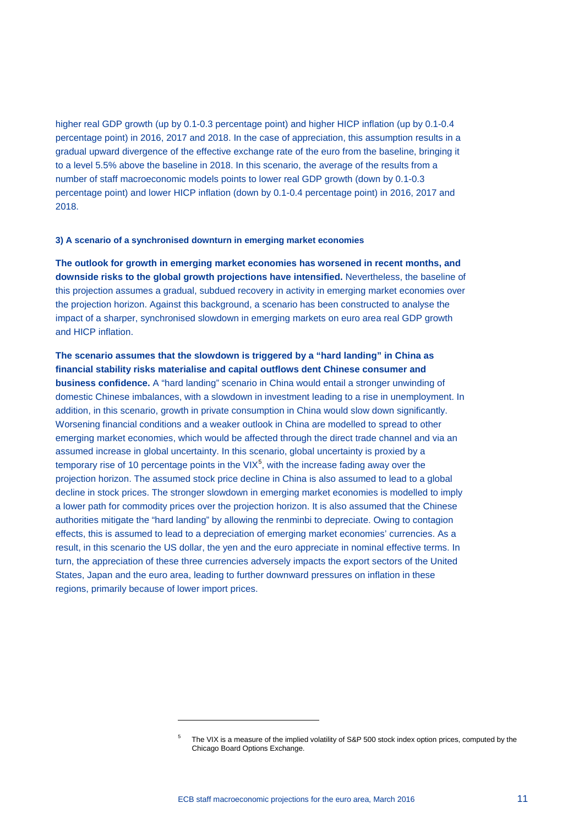higher real GDP growth (up by 0.1-0.3 percentage point) and higher HICP inflation (up by 0.1-0.4 percentage point) in 2016, 2017 and 2018. In the case of appreciation, this assumption results in a gradual upward divergence of the effective exchange rate of the euro from the baseline, bringing it to a level 5.5% above the baseline in 2018. In this scenario, the average of the results from a number of staff macroeconomic models points to lower real GDP growth (down by 0.1-0.3 percentage point) and lower HICP inflation (down by 0.1-0.4 percentage point) in 2016, 2017 and 2018.

### **3) A scenario of a synchronised downturn in emerging market economies**

-

**The outlook for growth in emerging market economies has worsened in recent months, and downside risks to the global growth projections have intensified.** Nevertheless, the baseline of this projection assumes a gradual, subdued recovery in activity in emerging market economies over the projection horizon. Against this background, a scenario has been constructed to analyse the impact of a sharper, synchronised slowdown in emerging markets on euro area real GDP growth and HICP inflation.

# **The scenario assumes that the slowdown is triggered by a "hard landing" in China as financial stability risks materialise and capital outflows dent Chinese consumer and**

**business confidence.** A "hard landing" scenario in China would entail a stronger unwinding of domestic Chinese imbalances, with a slowdown in investment leading to a rise in unemployment. In addition, in this scenario, growth in private consumption in China would slow down significantly. Worsening financial conditions and a weaker outlook in China are modelled to spread to other emerging market economies, which would be affected through the direct trade channel and via an assumed increase in global uncertainty. In this scenario, global uncertainty is proxied by a temporary rise of 10 percentage points in the VIX $<sup>5</sup>$  $<sup>5</sup>$  $<sup>5</sup>$ , with the increase fading away over the</sup> projection horizon. The assumed stock price decline in China is also assumed to lead to a global decline in stock prices. The stronger slowdown in emerging market economies is modelled to imply a lower path for commodity prices over the projection horizon. It is also assumed that the Chinese authorities mitigate the "hard landing" by allowing the renminbi to depreciate. Owing to contagion effects, this is assumed to lead to a depreciation of emerging market economies' currencies. As a result, in this scenario the US dollar, the yen and the euro appreciate in nominal effective terms. In turn, the appreciation of these three currencies adversely impacts the export sectors of the United States, Japan and the euro area, leading to further downward pressures on inflation in these regions, primarily because of lower import prices.

<span id="page-10-0"></span><sup>5</sup> The VIX is a measure of the implied volatility of S&P 500 stock index option prices, computed by the Chicago Board Options Exchange.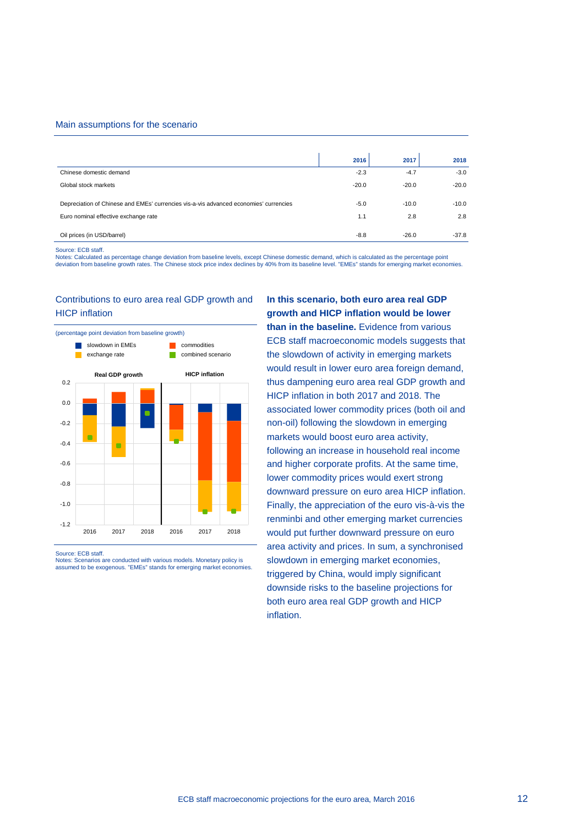#### Main assumptions for the scenario

|                                                                                       | 2016    | 2017    | 2018    |
|---------------------------------------------------------------------------------------|---------|---------|---------|
| Chinese domestic demand                                                               | $-2.3$  | $-4.7$  | $-3.0$  |
| Global stock markets                                                                  | $-20.0$ | $-20.0$ | $-20.0$ |
| Depreciation of Chinese and EMEs' currencies vis-a-vis advanced economies' currencies | $-5.0$  | $-10.0$ | $-10.0$ |
| Euro nominal effective exchange rate                                                  | 1.1     | 2.8     | 2.8     |
|                                                                                       |         |         |         |
| Oil prices (in USD/barrel)                                                            | $-8.8$  | $-26.0$ | $-37.8$ |

#### Source: ECB staff.

Notes: Calculated as percentage change deviation from baseline levels, except Chinese domestic demand, which is calculated as the percentage point<br>deviation from baseline growth rates. The Chinese stock price index decline

### Contributions to euro area real GDP growth and HICP inflation



Source: ECB staff.

**In this scenario, both euro area real GDP growth and HICP inflation would be lower than in the baseline.** Evidence from various ECB staff macroeconomic models suggests that the slowdown of activity in emerging markets would result in lower euro area foreign demand, thus dampening euro area real GDP growth and HICP inflation in both 2017 and 2018. The associated lower commodity prices (both oil and non-oil) following the slowdown in emerging markets would boost euro area activity, following an increase in household real income and higher corporate profits. At the same time, lower commodity prices would exert strong downward pressure on euro area HICP inflation. Finally, the appreciation of the euro vis-à-vis the renminbi and other emerging market currencies would put further downward pressure on euro area activity and prices. In sum, a synchronised slowdown in emerging market economies, triggered by China, would imply significant downside risks to the baseline projections for both euro area real GDP growth and HICP inflation.

Notes: Scenarios are conducted with various models. Monetary policy is assumed to be exogenous. "EMEs" stands for emerging market economies.